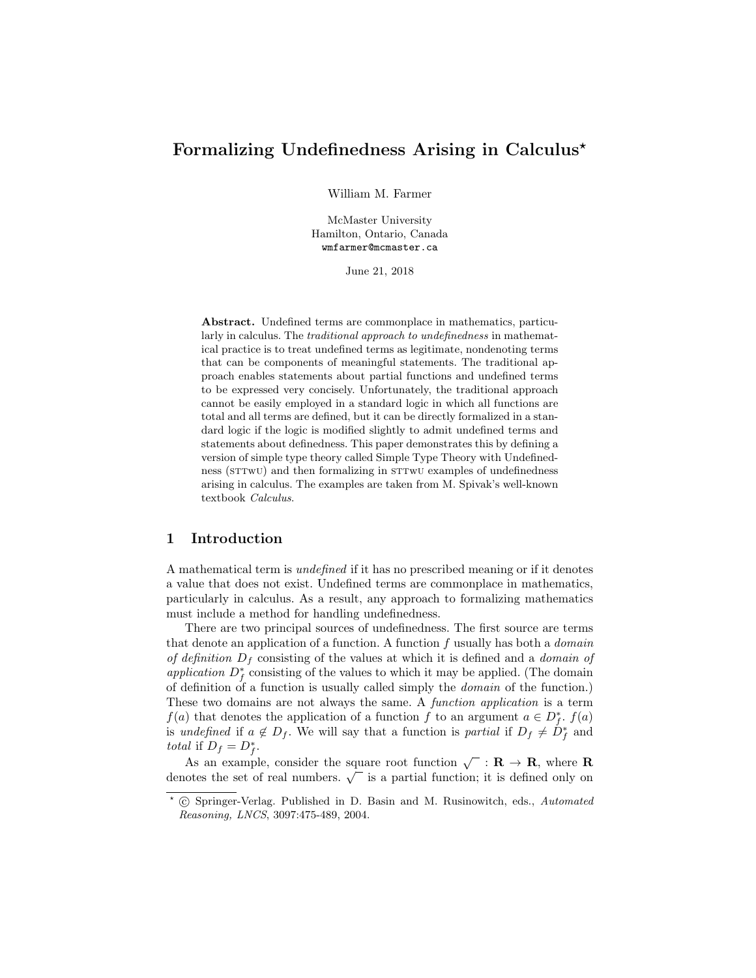# Formalizing Undefinedness Arising in Calculus?

William M. Farmer

McMaster University Hamilton, Ontario, Canada wmfarmer@mcmaster.ca

June 21, 2018

Abstract. Undefined terms are commonplace in mathematics, particularly in calculus. The *traditional approach to undefinedness* in mathematical practice is to treat undefined terms as legitimate, nondenoting terms that can be components of meaningful statements. The traditional approach enables statements about partial functions and undefined terms to be expressed very concisely. Unfortunately, the traditional approach cannot be easily employed in a standard logic in which all functions are total and all terms are defined, but it can be directly formalized in a standard logic if the logic is modified slightly to admit undefined terms and statements about definedness. This paper demonstrates this by defining a version of simple type theory called Simple Type Theory with Undefinedness (STTwU) and then formalizing in STTwU examples of undefinedness arising in calculus. The examples are taken from M. Spivak's well-known textbook Calculus.

# 1 Introduction

A mathematical term is undefined if it has no prescribed meaning or if it denotes a value that does not exist. Undefined terms are commonplace in mathematics, particularly in calculus. As a result, any approach to formalizing mathematics must include a method for handling undefinedness.

There are two principal sources of undefinedness. The first source are terms that denote an application of a function. A function  $f$  usually has both a *domain* of definition  $D_f$  consisting of the values at which it is defined and a *domain of* application  $D_f^*$  consisting of the values to which it may be applied. (The domain of definition of a function is usually called simply the domain of the function.) These two domains are not always the same. A function application is a term  $f(a)$  that denotes the application of a function f to an argument  $a \in D_f^*$ .  $f(a)$ is undefined if  $a \notin D_f$ . We will say that a function is partial if  $D_f \neq D_f^*$  and total if  $D_f = D_f^*$ .

As an example, consider the square root function  $\sqrt{\ } : \mathbf{R} \to \mathbf{R}$ , where **R** As an example, consider the square root function  $\gamma : \mathbb{R} \to \mathbb{R}$ , where  $\mathbb{R}$  denotes the set of real numbers.  $\sqrt{\ }$  is a partial function; it is defined only on

<sup>\* ©</sup> Springer-Verlag. Published in D. Basin and M. Rusinowitch, eds., Automated Reasoning, LNCS, 3097:475-489, 2004.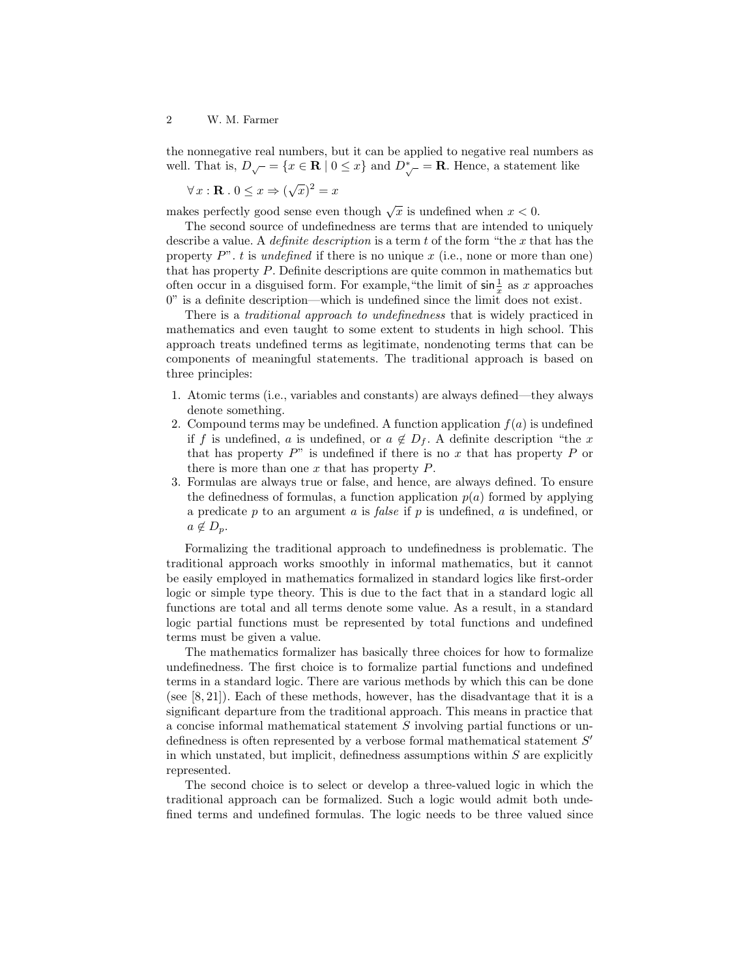the nonnegative real numbers, but it can be applied to negative real numbers as well. That is,  $D_{\sqrt{\ } } = \{x \in \mathbf{R} \mid 0 \leq x\}$  and  $D_{\sqrt{\ } }^* = \mathbf{R}$ . Hence, a statement like

$$
\forall x : \mathbf{R} \cdot 0 \le x \Rightarrow (\sqrt{x})^2 = x
$$

makes perfectly good sense even though  $\sqrt{x}$  is undefined when  $x < 0$ .

The second source of undefinedness are terms that are intended to uniquely describe a value. A *definite description* is a term t of the form "the x that has the property  $P$ ". t is *undefined* if there is no unique x (i.e., none or more than one) that has property P. Definite descriptions are quite common in mathematics but often occur in a disguised form. For example, "the limit of  $\sin \frac{1}{x}$  as x approaches 0" is a definite description—which is undefined since the limit does not exist.

There is a *traditional approach to undefinedness* that is widely practiced in mathematics and even taught to some extent to students in high school. This approach treats undefined terms as legitimate, nondenoting terms that can be components of meaningful statements. The traditional approach is based on three principles:

- 1. Atomic terms (i.e., variables and constants) are always defined—they always denote something.
- 2. Compound terms may be undefined. A function application  $f(a)$  is undefined if f is undefined, a is undefined, or  $a \notin D_f$ . A definite description "the x that has property  $P^{\prime\prime}$  is undefined if there is no x that has property P or there is more than one  $x$  that has property  $P$ .
- 3. Formulas are always true or false, and hence, are always defined. To ensure the definedness of formulas, a function application  $p(a)$  formed by applying a predicate  $p$  to an argument  $a$  is *false* if  $p$  is undefined,  $a$  is undefined, or  $a \notin D_p$ .

Formalizing the traditional approach to undefinedness is problematic. The traditional approach works smoothly in informal mathematics, but it cannot be easily employed in mathematics formalized in standard logics like first-order logic or simple type theory. This is due to the fact that in a standard logic all functions are total and all terms denote some value. As a result, in a standard logic partial functions must be represented by total functions and undefined terms must be given a value.

The mathematics formalizer has basically three choices for how to formalize undefinedness. The first choice is to formalize partial functions and undefined terms in a standard logic. There are various methods by which this can be done (see [8, 21]). Each of these methods, however, has the disadvantage that it is a significant departure from the traditional approach. This means in practice that a concise informal mathematical statement S involving partial functions or undefinedness is often represented by a verbose formal mathematical statement  $S'$ in which unstated, but implicit, definedness assumptions within  $S$  are explicitly represented.

The second choice is to select or develop a three-valued logic in which the traditional approach can be formalized. Such a logic would admit both undefined terms and undefined formulas. The logic needs to be three valued since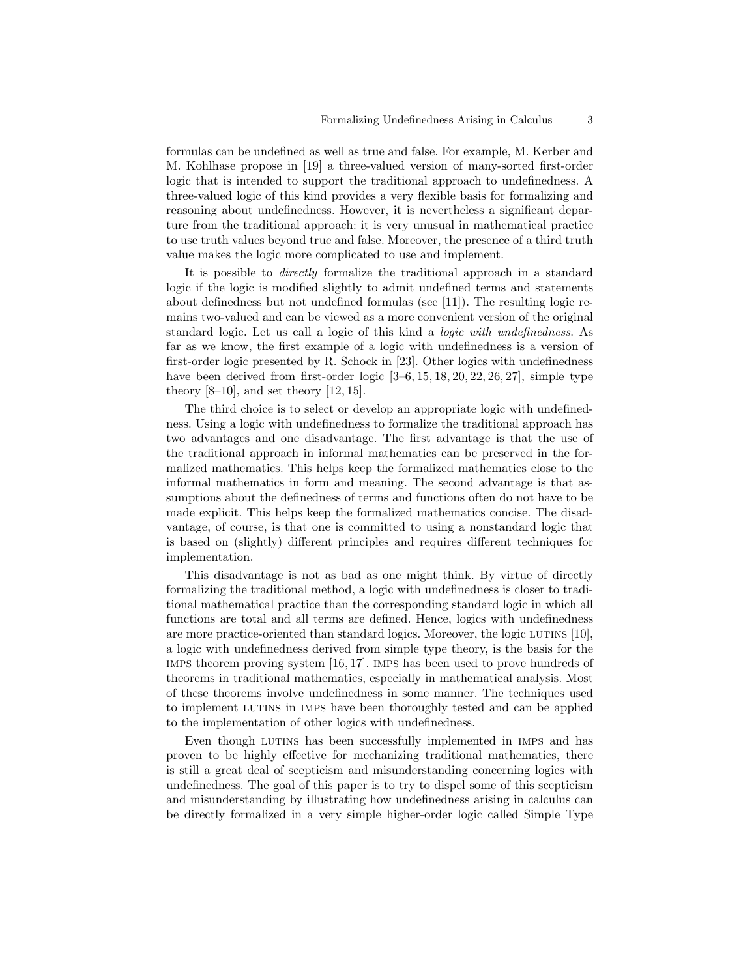formulas can be undefined as well as true and false. For example, M. Kerber and M. Kohlhase propose in [19] a three-valued version of many-sorted first-order logic that is intended to support the traditional approach to undefinedness. A three-valued logic of this kind provides a very flexible basis for formalizing and reasoning about undefinedness. However, it is nevertheless a significant departure from the traditional approach: it is very unusual in mathematical practice to use truth values beyond true and false. Moreover, the presence of a third truth value makes the logic more complicated to use and implement.

It is possible to directly formalize the traditional approach in a standard logic if the logic is modified slightly to admit undefined terms and statements about definedness but not undefined formulas (see [11]). The resulting logic remains two-valued and can be viewed as a more convenient version of the original standard logic. Let us call a logic of this kind a logic with undefinedness. As far as we know, the first example of a logic with undefinedness is a version of first-order logic presented by R. Schock in [23]. Other logics with undefinedness have been derived from first-order logic  $[3-6, 15, 18, 20, 22, 26, 27]$ , simple type theory  $[8-10]$ , and set theory  $[12, 15]$ .

The third choice is to select or develop an appropriate logic with undefinedness. Using a logic with undefinedness to formalize the traditional approach has two advantages and one disadvantage. The first advantage is that the use of the traditional approach in informal mathematics can be preserved in the formalized mathematics. This helps keep the formalized mathematics close to the informal mathematics in form and meaning. The second advantage is that assumptions about the definedness of terms and functions often do not have to be made explicit. This helps keep the formalized mathematics concise. The disadvantage, of course, is that one is committed to using a nonstandard logic that is based on (slightly) different principles and requires different techniques for implementation.

This disadvantage is not as bad as one might think. By virtue of directly formalizing the traditional method, a logic with undefinedness is closer to traditional mathematical practice than the corresponding standard logic in which all functions are total and all terms are defined. Hence, logics with undefinedness are more practice-oriented than standard logics. Moreover, the logic LUTINS  $[10]$ , a logic with undefinedness derived from simple type theory, is the basis for the imps theorem proving system [16, 17]. imps has been used to prove hundreds of theorems in traditional mathematics, especially in mathematical analysis. Most of these theorems involve undefinedness in some manner. The techniques used to implement lutins in imps have been thoroughly tested and can be applied to the implementation of other logics with undefinedness.

Even though LUTINS has been successfully implemented in IMPS and has proven to be highly effective for mechanizing traditional mathematics, there is still a great deal of scepticism and misunderstanding concerning logics with undefinedness. The goal of this paper is to try to dispel some of this scepticism and misunderstanding by illustrating how undefinedness arising in calculus can be directly formalized in a very simple higher-order logic called Simple Type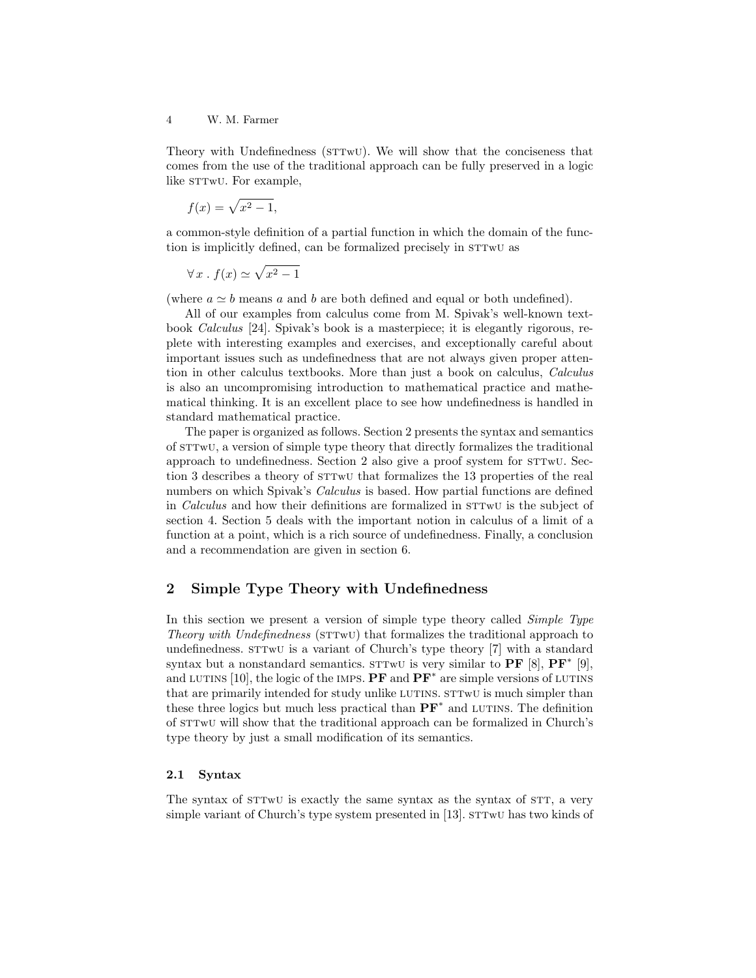Theory with Undefinedness  $(STTwU)$ . We will show that the conciseness that comes from the use of the traditional approach can be fully preserved in a logic like STTwU. For example,

$$
f(x) = \sqrt{x^2 - 1},
$$

a common-style definition of a partial function in which the domain of the function is implicitly defined, can be formalized precisely in  $STTWU$  as

$$
\forall x \,.\, f(x) \simeq \sqrt{x^2 - 1}
$$

(where  $a \simeq b$  means a and b are both defined and equal or both undefined).

All of our examples from calculus come from M. Spivak's well-known textbook Calculus [24]. Spivak's book is a masterpiece; it is elegantly rigorous, replete with interesting examples and exercises, and exceptionally careful about important issues such as undefinedness that are not always given proper attention in other calculus textbooks. More than just a book on calculus, Calculus is also an uncompromising introduction to mathematical practice and mathematical thinking. It is an excellent place to see how undefinedness is handled in standard mathematical practice.

The paper is organized as follows. Section 2 presents the syntax and semantics of  $STTWU$ , a version of simple type theory that directly formalizes the traditional approach to undefinedness. Section 2 also give a proof system for  $STTWU$ . Section 3 describes a theory of  $STTWU$  that formalizes the 13 properties of the real numbers on which Spivak's *Calculus* is based. How partial functions are defined in *Calculus* and how their definitions are formalized in structure is the subject of section 4. Section 5 deals with the important notion in calculus of a limit of a function at a point, which is a rich source of undefinedness. Finally, a conclusion and a recommendation are given in section 6.

# 2 Simple Type Theory with Undefinedness

In this section we present a version of simple type theory called *Simple Type* Theory with Undefinedness (STTwU) that formalizes the traditional approach to undefinedness.  $STTWU$  is a variant of Church's type theory [7] with a standard syntax but a nonstandard semantics.  $STTWU$  is very similar to  $PF [8]$ ,  $PF^* [9]$ , and LUTINS [10], the logic of the IMPS. PF and  $PF^*$  are simple versions of LUTINS that are primarily intended for study unlike LUTINS. STTwU is much simpler than these three logics but much less practical than  $\mathbf{PF}^*$  and LUTINS. The definition of sttwu will show that the traditional approach can be formalized in Church's type theory by just a small modification of its semantics.

#### 2.1 Syntax

The syntax of  $STTWU$  is exactly the same syntax as the syntax of  $STT$ , a very simple variant of Church's type system presented in  $[13]$ .  $STTWU$  has two kinds of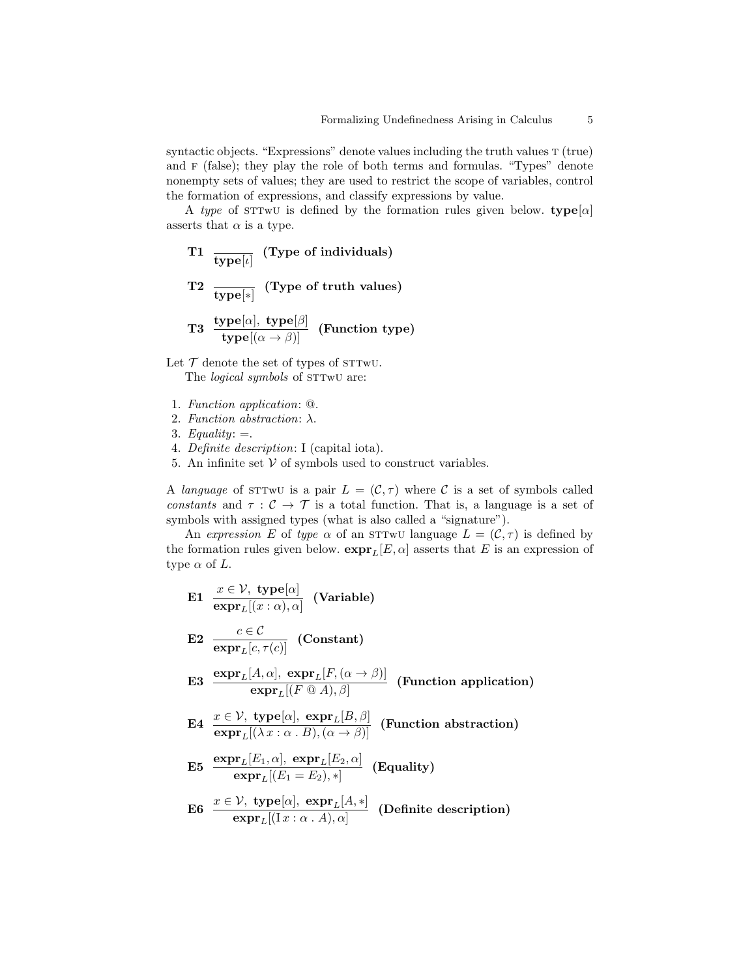syntactic objects. "Expressions" denote values including the truth values  $T$  (true) and  $F$  (false); they play the role of both terms and formulas. "Types" denote nonempty sets of values; they are used to restrict the scope of variables, control the formation of expressions, and classify expressions by value.

A type of  $STTWU$  is defined by the formation rules given below. type[ $\alpha$ ] asserts that  $\alpha$  is a type.

T1 
$$
\frac{1}{\text{type}[t]}
$$
 (Type of individuals)  
T2  $\frac{1}{\text{type}[*]}$  (Type of truth values)  
T3  $\frac{\text{type}[\alpha], \text{ type}[\beta]}{\text{type}[(\alpha \rightarrow \beta)]}$  (Function type)

Let  $\mathcal T$  denote the set of types of  $STTWU$ . The *logical symbols* of STTwU are:

- 1. Function application: @.
- 2. Function abstraction:  $\lambda$ .
- 3. Equality:  $=$ .
- 4. Definite description: I (capital iota).
- 5. An infinite set  $V$  of symbols used to construct variables.

A language of strown is a pair  $L = (\mathcal{C}, \tau)$  where C is a set of symbols called constants and  $\tau : \mathcal{C} \to \mathcal{T}$  is a total function. That is, a language is a set of symbols with assigned types (what is also called a "signature").

An expression E of type  $\alpha$  of an strow language  $L = (\mathcal{C}, \tau)$  is defined by the formation rules given below.  $\exp r_L[E, \alpha]$  asserts that E is an expression of type  $\alpha$  of  $L$ .

E1 
$$
\frac{x \in V, \text{ type}[\alpha]}{\exp_r_L[(x:\alpha), \alpha]}
$$
 (Variable)  
\nE2  $\frac{c \in C}{\exp_r_L[c, \tau(c)]}$  (Constant)  
\nE3  $\frac{\exp_r_L[A, \alpha], \exp_r_L[F, (\alpha \to \beta)]}{\exp_r_L[(F \otimes A), \beta]}$  (Function application)  
\nE4  $\frac{x \in V, \text{ type}[\alpha], \exp_r_L[B, \beta]}{\exp_r_L[(\lambda x : \alpha \cdot B), (\alpha \to \beta)]}$  (Function abstraction)  
\nE5  $\frac{\exp_r_L[E_1, \alpha], \exp_r_L[E_2, \alpha]}{\exp_r_L[(E_1 = E_2), *]}$  (Equality)  
\nE6  $\frac{x \in V, \text{ type}[\alpha], \exp_r_A[A, *]}{\exp_r_L[(x : \alpha \cdot A), \alpha]}$  (Definite description)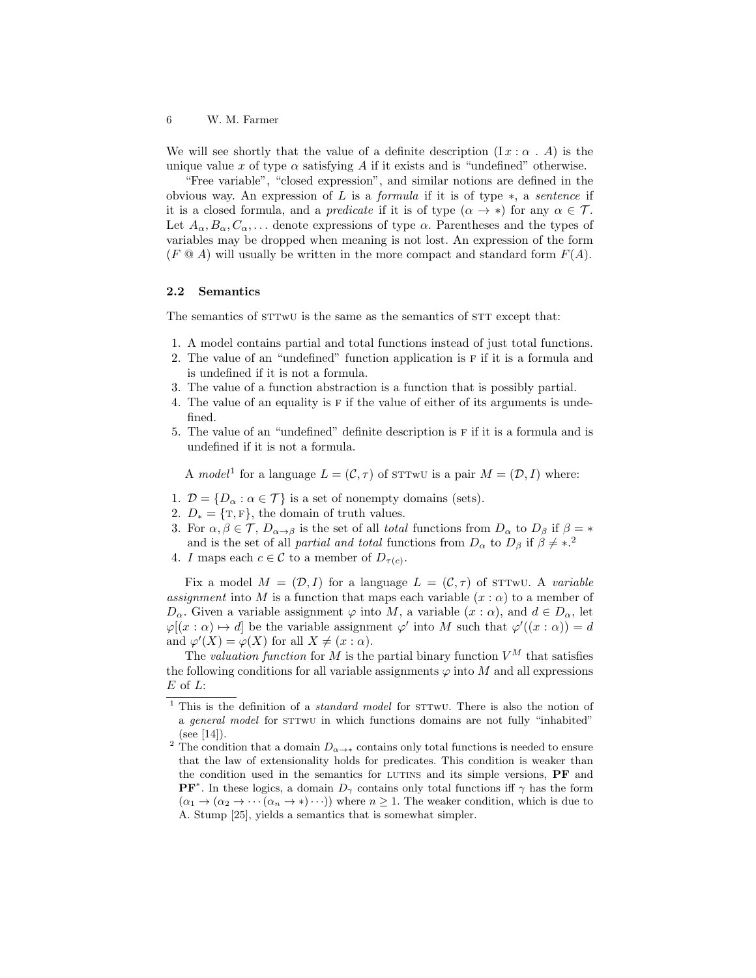We will see shortly that the value of a definite description  $(I x : \alpha A)$  is the unique value x of type  $\alpha$  satisfying A if it exists and is "undefined" otherwise.

"Free variable", "closed expression", and similar notions are defined in the obvious way. An expression of  $L$  is a *formula* if it is of type  $\ast$ , a *sentence* if it is a closed formula, and a *predicate* if it is of type  $(\alpha \to *)$  for any  $\alpha \in \mathcal{T}$ . Let  $A_{\alpha}, B_{\alpha}, C_{\alpha}, \ldots$  denote expressions of type  $\alpha$ . Parentheses and the types of variables may be dropped when meaning is not lost. An expression of the form  $(F \t M)$  will usually be written in the more compact and standard form  $F(A)$ .

#### 2.2 Semantics

The semantics of  $STTWU$  is the same as the semantics of  $STT$  except that:

- 1. A model contains partial and total functions instead of just total functions.
- 2. The value of an "undefined" function application is F if it is a formula and is undefined if it is not a formula.
- 3. The value of a function abstraction is a function that is possibly partial.
- 4. The value of an equality is F if the value of either of its arguments is undefined.
- 5. The value of an "undefined" definite description is F if it is a formula and is undefined if it is not a formula.

A model<sup>1</sup> for a language  $L = (\mathcal{C}, \tau)$  of strow is a pair  $M = (\mathcal{D}, I)$  where:

- 1.  $\mathcal{D} = \{D_{\alpha} : \alpha \in \mathcal{T}\}\$ is a set of nonempty domains (sets).
- 2.  $D_* = \{T, F\}$ , the domain of truth values.
- 3. For  $\alpha, \beta \in \mathcal{T}$ ,  $D_{\alpha \to \beta}$  is the set of all total functions from  $D_{\alpha}$  to  $D_{\beta}$  if  $\beta = *$ and is the set of all *partial and total* functions from  $D_{\alpha}$  to  $D_{\beta}$  if  $\beta \neq *$ <sup>2</sup>
- 4. I maps each  $c \in \mathcal{C}$  to a member of  $D_{\tau(c)}$ .

Fix a model  $M = (\mathcal{D}, I)$  for a language  $L = (\mathcal{C}, \tau)$  of struw. A variable assignment into M is a function that maps each variable  $(x : \alpha)$  to a member of  $D_{\alpha}$ . Given a variable assignment  $\varphi$  into M, a variable  $(x : \alpha)$ , and  $d \in D_{\alpha}$ , let  $\varphi[(x : \alpha) \mapsto d]$  be the variable assignment  $\varphi'$  into M such that  $\varphi'((x : \alpha)) = d$ and  $\varphi'(X) = \varphi(X)$  for all  $X \neq (x : \alpha)$ .

The valuation function for M is the partial binary function  $V^M$  that satisfies the following conditions for all variable assignments  $\varphi$  into M and all expressions  $E$  of  $L$ :

<sup>&</sup>lt;sup>1</sup> This is the definition of a *standard model* for  $STTWU$ . There is also the notion of a general model for STTwU in which functions domains are not fully "inhabited"  $(see [14]).$ 

<sup>&</sup>lt;sup>2</sup> The condition that a domain  $D_{\alpha\rightarrow\ast}$  contains only total functions is needed to ensure that the law of extensionality holds for predicates. This condition is weaker than the condition used in the semantics for LUTINS and its simple versions, PF and **PF<sup>\*</sup>**. In these logics, a domain  $D_{\gamma}$  contains only total functions iff  $\gamma$  has the form  $(\alpha_1 \to (\alpha_2 \to \cdots (\alpha_n \to *) \cdots))$  where  $n \geq 1$ . The weaker condition, which is due to A. Stump [25], yields a semantics that is somewhat simpler.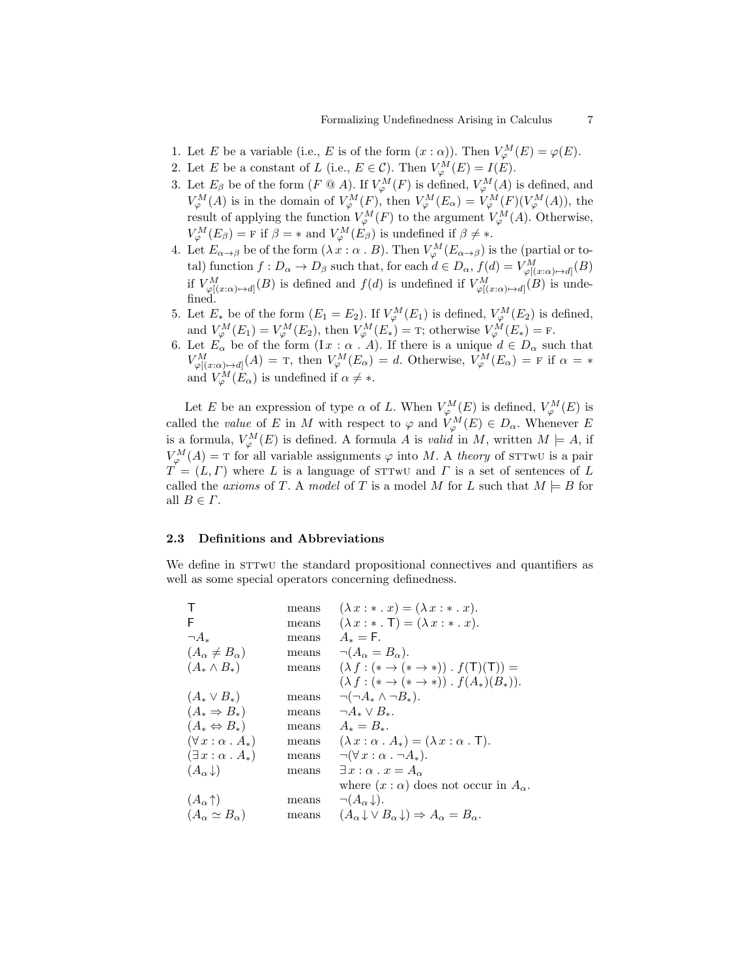- 1. Let E be a variable (i.e., E is of the form  $(x : \alpha)$ ). Then  $V^M_{\varphi}(E) = \varphi(E)$ .
- 2. Let E be a constant of L (i.e.,  $E \in \mathcal{C}$ ). Then  $V^M_{\varphi}(E) = I(E)$ .
- 3. Let  $E_\beta$  be of the form  $(F \otimes A)$ . If  $V^M_\varphi(F)$  is defined,  $V^M_\varphi(A)$  is defined, and  $V_{\varphi}^M(A)$  is in the domain of  $V_{\varphi}^M(F)$ , then  $V_{\varphi}^M(E_{\alpha})=V_{\varphi}^M(F)(V_{\varphi}^M(A))$ , the result of applying the function  $V_{\varphi}^M(F)$  to the argument  $V_{\varphi}^M(A)$ . Otherwise,  $V_{\varphi}^M(E_{\beta}) = F$  if  $\beta = *$  and  $V_{\varphi}^M(E_{\beta})$  is undefined if  $\beta \neq *$ .
- 4. Let  $E_{\alpha \to \beta}$  be of the form  $(\lambda x : \alpha \cdot B)$ . Then  $V^M_\varphi(E_{\alpha \to \beta})$  is the (partial or total) function  $f: D_{\alpha} \to D_{\beta}$  such that, for each  $d \in D_{\alpha}$ ,  $f(d) = V_{\varphi[(x:\alpha) \mapsto d]}^{M}(B)$  $\varphi^{\scriptscriptstyle \mathsf{r} M}_{\scriptscriptstyle (\mathcal{I}:\alpha)\mapsto d]}(B)$ if  $V^M_{\varphi[(x:\alpha)\mapsto d]}(B)$  is defined and  $f(d)$  is undefined if  $V^M_{\varphi[(x:\alpha)\mapsto d]}(B)$  is undefined.
- 5. Let  $E_*$  be of the form  $(E_1 = E_2)$ . If  $V^M_\varphi(E_1)$  is defined,  $V^M_\varphi(E_2)$  is defined, and  $V^M_\varphi(E_1) = V^M_\varphi(E_2)$ , then  $V^M_\varphi(E_*) = \text{r}$ ; otherwise  $V^M_\varphi(E_*) = \text{r}$ .
- 6. Let  $E_{\alpha}$  be of the form  $(I x : \alpha A)$ . If there is a unique  $d \in D_{\alpha}$  such that  $V^M_{\varphi[(x:\alpha)\mapsto d]}(A) = T$ , then  $V^M_{\varphi}(E_{\alpha}) = d$ . Otherwise,  $V^M_{\varphi}(E_{\alpha}) = F$  if  $\alpha = *$ and  $V^M_\varphi(E_\alpha)$  is undefined if  $\alpha \neq *$ .

Let E be an expression of type  $\alpha$  of L. When  $V^M_\varphi(E)$  is defined,  $V^M_\varphi(E)$  is called the value of E in M with respect to  $\varphi$  and  $V^M_{\varphi}(E) \in D_{\alpha}$ . Whenever E is a formula,  $V^M_\varphi(E)$  is defined. A formula A is valid in M, written  $M \models A$ , if  $V_{\varphi}^M(A) = \text{T}$  for all variable assignments  $\varphi$  into M. A theory of STTwU is a pair  $T = (L, \Gamma)$  where L is a language of strow and  $\Gamma$  is a set of sentences of L called the axioms of T. A model of T is a model M for L such that  $M \models B$  for all  $B \in \Gamma$ .

#### 2.3 Definitions and Abbreviations

We define in  $STTWU$  the standard propositional connectives and quantifiers as well as some special operators concerning definedness.

| means | $(\lambda x : * x) = (\lambda x : * x).$                                                |
|-------|-----------------------------------------------------------------------------------------|
| means | $(\lambda x : * \cdot \mathsf{T}) = (\lambda x : * \cdot x).$                           |
| means | $A_* = F.$                                                                              |
| means | $\neg(A_{\alpha} = B_{\alpha}).$                                                        |
| means | $(\lambda f : (* \rightarrow (* \rightarrow *) ) . f(T)(T)) =$                          |
|       | $(\lambda f: (* \rightarrow (* \rightarrow *)). f(A_*)(B_*)).$                          |
| means | $\neg(\neg A_* \wedge \neg B_*)$ .                                                      |
| means | $\neg A_* \vee B_*$ .                                                                   |
| means | $A_{*}=B_{*}.$                                                                          |
| means | $(\lambda x : \alpha A_*) = (\lambda x : \alpha . \mathsf{T}).$                         |
| means | $\neg(\forall x : \alpha \cdot \neg A_*)$ .                                             |
| means | $\exists x : \alpha \cdot x = A_{\alpha}$                                               |
|       | where $(x:\alpha)$ does not occur in $A_{\alpha}$ .                                     |
| means | $\neg(A_{\alpha}\downarrow).$                                                           |
| means | $(A_{\alpha}\downarrow \vee B_{\alpha}\downarrow) \Rightarrow A_{\alpha} = B_{\alpha}.$ |
|       |                                                                                         |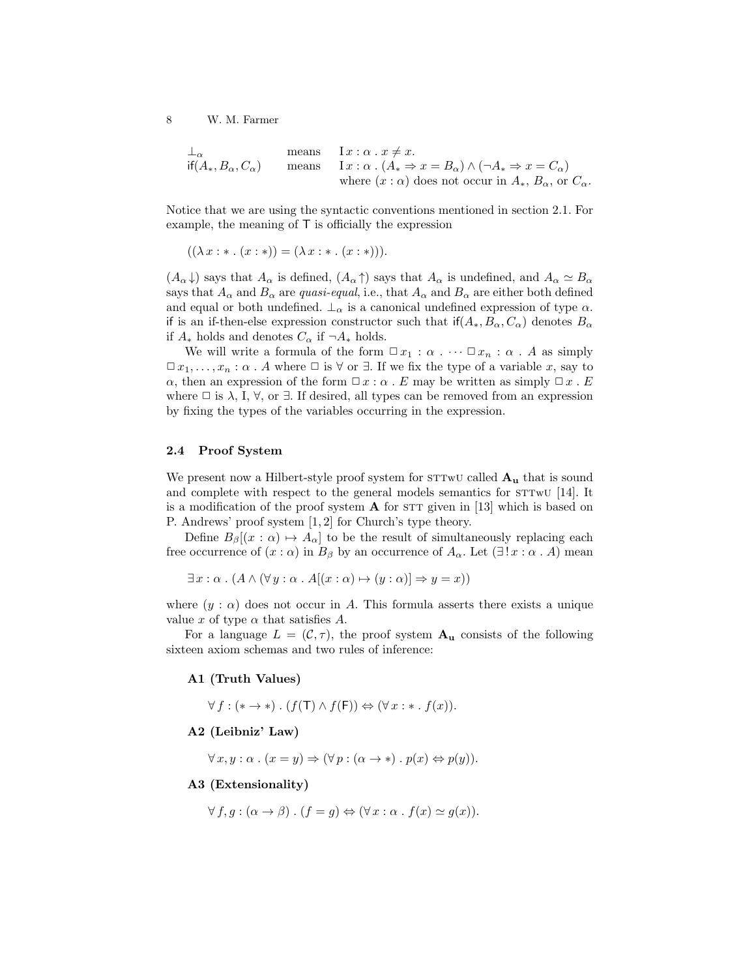$$
\begin{array}{ll}\n\bot_{\alpha} & \text{means} & I x : \alpha \cdot x \neq x. \\
\text{if}(A_*, B_\alpha, C_\alpha) & \text{means} & I x : \alpha \cdot (A_* \Rightarrow x = B_\alpha) \land (\neg A_* \Rightarrow x = C_\alpha) \\
&\text{where } (x : \alpha) \text{ does not occur in } A_*, B_\alpha, \text{ or } C_\alpha.\n\end{array}
$$

Notice that we are using the syntactic conventions mentioned in section 2.1. For example, the meaning of  $\mathsf T$  is officially the expression

$$
((\lambda x : * \cdot (x : *) ) = (\lambda x : * \cdot (x : *))).
$$

 $(A_{\alpha}\downarrow)$  says that  $A_{\alpha}$  is defined,  $(A_{\alpha}\uparrow)$  says that  $A_{\alpha}$  is undefined, and  $A_{\alpha} \simeq B_{\alpha}$ says that  $A_{\alpha}$  and  $B_{\alpha}$  are *quasi-equal*, i.e., that  $A_{\alpha}$  and  $B_{\alpha}$  are either both defined and equal or both undefined.  $\perp_{\alpha}$  is a canonical undefined expression of type  $\alpha$ . if is an if-then-else expression constructor such that if $(A_*, B_\alpha, C_\alpha)$  denotes  $B_\alpha$ if  $A_*$  holds and denotes  $C_{\alpha}$  if  $\neg A_*$  holds.

We will write a formula of the form  $\Box x_1 : \alpha \cdots \Box x_n : \alpha$ . A as simply  $\Box x_1, \ldots, x_n : \alpha$ . A where  $\Box$  is  $\forall$  or  $\exists$ . If we fix the type of a variable x, say to  $\alpha$ , then an expression of the form  $\Box x : \alpha$ . E may be written as simply  $\Box x$ . E where  $\Box$  is  $\lambda$ , I,  $\forall$ , or  $\exists$ . If desired, all types can be removed from an expression by fixing the types of the variables occurring in the expression.

#### 2.4 Proof System

We present now a Hilbert-style proof system for  $STTWU$  called  $A_u$  that is sound and complete with respect to the general models semantics for  $STTWU$  [14]. It is a modification of the proof system  $A$  for strt given in [13] which is based on P. Andrews' proof system [1, 2] for Church's type theory.

Define  $B_{\beta}[(x:\alpha) \mapsto A_{\alpha}]$  to be the result of simultaneously replacing each free occurrence of  $(x : \alpha)$  in  $B_\beta$  by an occurrence of  $A_\alpha$ . Let  $(\exists ! x : \alpha . A)$  mean

 $\exists x : \alpha : (A \wedge (\forall y : \alpha : A[(x : \alpha) \mapsto (y : \alpha)] \Rightarrow y = x))$ 

where  $(y : \alpha)$  does not occur in A. This formula asserts there exists a unique value x of type  $\alpha$  that satisfies A.

For a language  $L = (\mathcal{C}, \tau)$ , the proof system  $\mathbf{A}_{\mathbf{u}}$  consists of the following sixteen axiom schemas and two rules of inference:

#### A1 (Truth Values)

 $\forall f : (* \rightarrow *) \cdot (f(T) \wedge f(F)) \Leftrightarrow (\forall x : * \cdot f(x)).$ 

#### A2 (Leibniz' Law)

$$
\forall x, y : \alpha \cdot (x = y) \Rightarrow (\forall p : (\alpha \to *) \cdot p(x) \Leftrightarrow p(y)).
$$

#### A3 (Extensionality)

$$
\forall f, g: (\alpha \to \beta) \cdot (f = g) \Leftrightarrow (\forall x: \alpha \cdot f(x) \simeq g(x)).
$$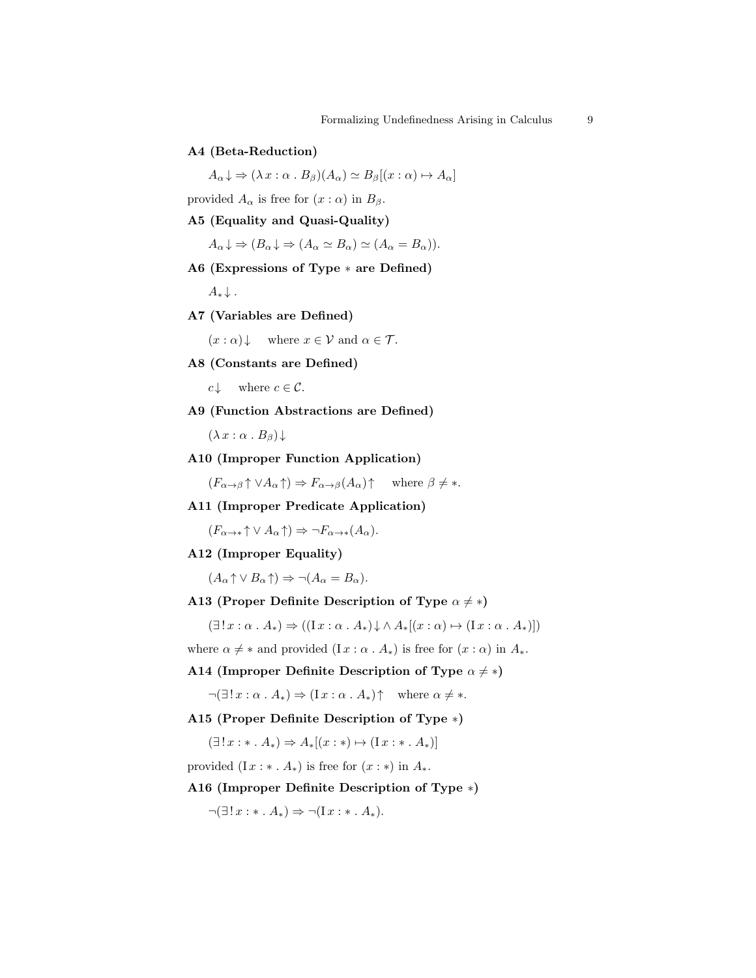### A4 (Beta-Reduction)

 $A_{\alpha} \downarrow \Rightarrow (\lambda x : \alpha \cdot B_{\beta})(A_{\alpha}) \simeq B_{\beta}[(x : \alpha) \mapsto A_{\alpha}]$ 

provided  $A_{\alpha}$  is free for  $(x : \alpha)$  in  $B_{\beta}$ .

### A5 (Equality and Quasi-Quality)

 $A_{\alpha} \downarrow \Rightarrow (B_{\alpha} \downarrow \Rightarrow (A_{\alpha} \simeq B_{\alpha}) \simeq (A_{\alpha} = B_{\alpha})).$ 

### A6 (Expressions of Type ∗ are Defined)

 $A_*\downarrow$ .

#### A7 (Variables are Defined)

 $(x : \alpha) \downarrow$  where  $x \in \mathcal{V}$  and  $\alpha \in \mathcal{T}$ .

# A8 (Constants are Defined)

 $c \downarrow$  where  $c \in \mathcal{C}$ .

### A9 (Function Abstractions are Defined)

 $(\lambda x : \alpha \cdot B_\beta) \downarrow$ 

### A10 (Improper Function Application)

 $(F_{\alpha \to \beta} \uparrow \vee A_{\alpha} \uparrow) \Rightarrow F_{\alpha \to \beta}(A_{\alpha}) \uparrow$  where  $\beta \neq *$ .

### A11 (Improper Predicate Application)

 $(F_{\alpha \to \ast} \uparrow \vee A_{\alpha} \uparrow) \Rightarrow \neg F_{\alpha \to \ast}(A_{\alpha}).$ 

#### A12 (Improper Equality)

 $(A_{\alpha} \uparrow \vee B_{\alpha} \uparrow) \Rightarrow \neg (A_{\alpha} = B_{\alpha}).$ 

### A13 (Proper Definite Description of Type  $\alpha \neq *$ )

 $(\exists ! x : \alpha \cdot A_*) \Rightarrow ((I x : \alpha \cdot A_*) \downarrow \wedge A_*[(x : \alpha) \mapsto (I x : \alpha \cdot A_*)])$ 

where  $\alpha \neq *$  and provided  $(I x : \alpha : A_*)$  is free for  $(x : \alpha)$  in  $A_*$ .

### A14 (Improper Definite Description of Type  $\alpha \neq *$ )

 $\neg(\exists ! x : \alpha \cdot A_*) \Rightarrow (\mathbf{I} x : \alpha \cdot A_*) \uparrow \text{ where } \alpha \neq *$ .

## A15 (Proper Definite Description of Type ∗)

$$
(\exists ! x : * \ldots A_*) \Rightarrow A_*[(x : *) \mapsto (\mathbf{I} x : * \ldots A_*)]
$$

provided  $(I x : * A_*)$  is free for  $(x : *)$  in  $A_*$ .

### A16 (Improper Definite Description of Type ∗)

 $\neg(\exists ! x : * \ldots A_*) \Rightarrow \neg(I x : * \ldots A_*)$ .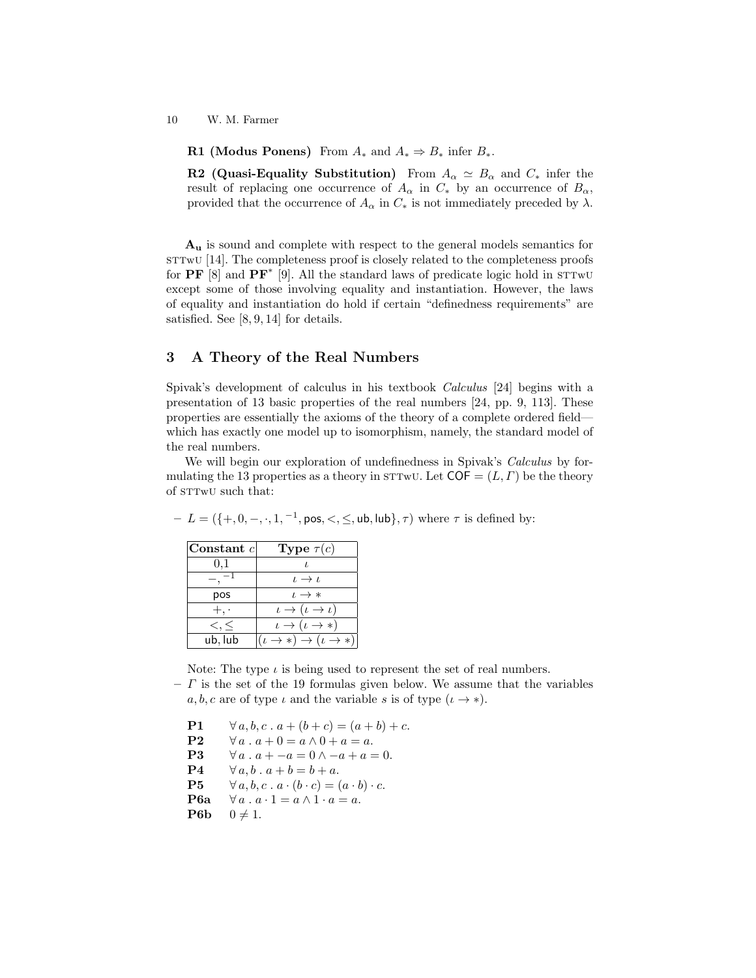**R1 (Modus Ponens)** From  $A_*$  and  $A_* \Rightarrow B_*$  infer  $B_*$ .

**R2 (Quasi-Equality Substitution)** From  $A_{\alpha} \simeq B_{\alpha}$  and  $C_*$  infer the result of replacing one occurrence of  $A_{\alpha}$  in  $C_{\ast}$  by an occurrence of  $B_{\alpha}$ , provided that the occurrence of  $A_{\alpha}$  in  $C_{*}$  is not immediately preceded by  $\lambda$ .

 $A<sub>u</sub>$  is sound and complete with respect to the general models semantics for strtwu [14]. The completeness proof is closely related to the completeness proofs for  $\overline{PF}$  [8] and  $\overline{PF}^*$  [9]. All the standard laws of predicate logic hold in  $STTWU$ except some of those involving equality and instantiation. However, the laws of equality and instantiation do hold if certain "definedness requirements" are satisfied. See [8, 9, 14] for details.

# 3 A Theory of the Real Numbers

Spivak's development of calculus in his textbook Calculus [24] begins with a presentation of 13 basic properties of the real numbers [24, pp. 9, 113]. These properties are essentially the axioms of the theory of a complete ordered field which has exactly one model up to isomorphism, namely, the standard model of the real numbers.

We will begin our exploration of undefinedness in Spivak's *Calculus* by formulating the 13 properties as a theory in strtwu. Let  $COF = (L, \Gamma)$  be the theory of  $STTWU$  such that:

| $\textbf{Constant} \textit{cl}$ | <b>Type</b> $\tau(c)$                       |
|---------------------------------|---------------------------------------------|
| 0,1                             |                                             |
|                                 | $\iota \rightarrow \iota$                   |
| pos                             | $\iota \rightarrow *$                       |
|                                 | $\iota \to (\iota \to \iota)$               |
| $\lt$ . $\lt$                   | $\iota \to (\iota \to *)$                   |
| ub, lub                         | $(\iota \rightarrow *)$<br>$*) \rightarrow$ |

|  |  |  | $-L = (\{+,0,-, \cdot, 1, ^{-1}, \text{pos}, <, \leq, \text{ub}, \text{lub}\}, \tau)$ where $\tau$ is defined by: |  |  |  |  |
|--|--|--|-------------------------------------------------------------------------------------------------------------------|--|--|--|--|
|--|--|--|-------------------------------------------------------------------------------------------------------------------|--|--|--|--|

Note: The type  $\iota$  is being used to represent the set of real numbers.

 $-$  Γ is the set of the 19 formulas given below. We assume that the variables a, b, c are of type  $\iota$  and the variable s is of type  $(\iota \to *)$ .

**P1**  $\forall a, b, c \cdot a + (b + c) = (a + b) + c.$ **P2**  $\forall a \cdot a + 0 = a \wedge 0 + a = a$ . **P3**  $\forall a \cdot a + -a = 0 \land -a + a = 0.$  $\mathbf{P4} \quad \forall a, b \cdot a + b = b + a.$  $\mathbf{P5} \quad \forall a, b, c \cdot a \cdot (b \cdot c) = (a \cdot b) \cdot c.$ **P6a**  $\forall a \cdot a \cdot 1 = a \wedge 1 \cdot a = a.$ **P6b**  $0 \neq 1$ .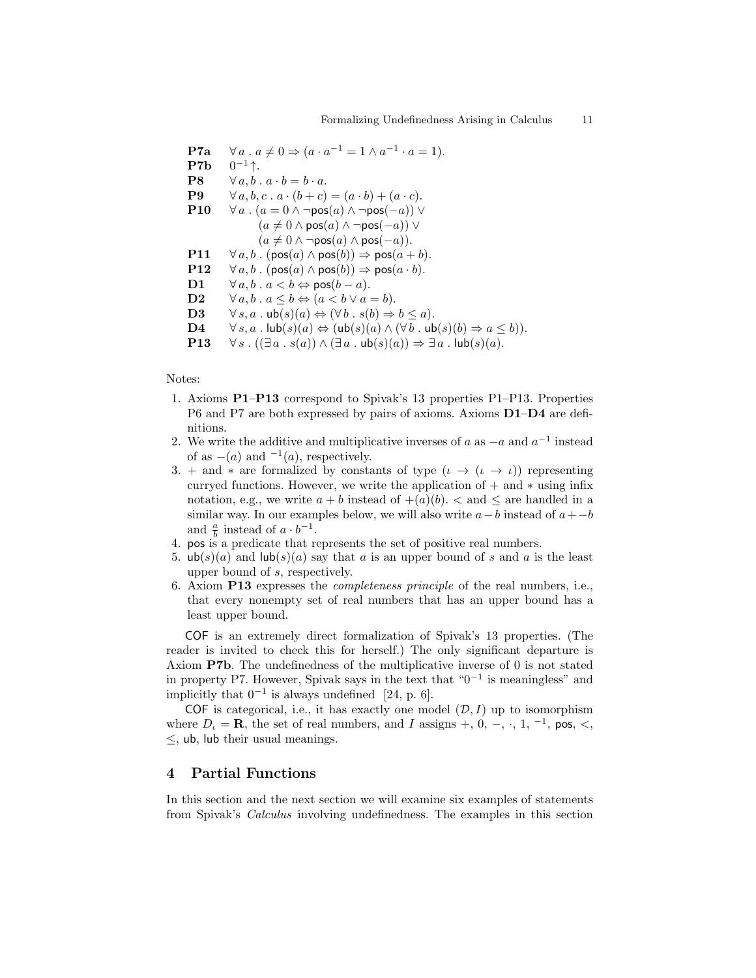**P7a**  $\forall a \cdot a \neq 0 \Rightarrow (a \cdot a^{-1} = 1 \land a^{-1} \cdot a = 1).$ P7b  $0^{-1}$  ↑. **P8**  $\forall a, b \cdot a \cdot b = b \cdot a$ . **P9**  $\forall a, b, c \cdot a \cdot (b + c) = (a \cdot b) + (a \cdot c).$ **P10**  $\forall a \cdot (a = 0 \land \neg pos(a) \land \neg pos(-a)) \lor$  $(a \neq 0 \land pos(a) \land \neg pos(-a)) \lor$  $(a \neq 0 \land \neg pos(a) \land pos(-a)).$  $P11 \quad \forall a, b \, . \, (pos(a) \land pos(b)) \Rightarrow pos(a+b).$  $P12 \quad \forall a, b \ . \ (pos(a) \land pos(b)) \Rightarrow pos(a \cdot b).$ D1  $\forall a, b \cdot a < b \Leftrightarrow \text{pos}(b-a)$ . **D2**  $\forall a, b \cdot a \leq b \Leftrightarrow (a < b \lor a = b).$ **D3**  $\forall s, a \cdot \text{ub}(s)(a) \Leftrightarrow (\forall b \cdot s(b) \Rightarrow b \leq a).$ D4  $\forall s, a \cdot \text{lub}(s)(a) \Leftrightarrow (\text{ub}(s)(a) \wedge (\forall b \cdot \text{ub}(s)(b) \Rightarrow a \le b)).$ 

**P13**  $\forall s \cdot ((\exists a \cdot s(a)) \wedge (\exists a \cdot \text{ub}(s)(a)) \Rightarrow \exists a \cdot \text{lub}(s)(a).$ 

#### Notes:

- 1. Axioms P1–P13 correspond to Spivak's 13 properties P1–P13. Properties P6 and P7 are both expressed by pairs of axioms. Axioms D1–D4 are definitions.
- 2. We write the additive and multiplicative inverses of a as  $-a$  and  $a^{-1}$  instead of as  $-(a)$  and  $^{-1}(a)$ , respectively.
- 3. + and \* are formalized by constants of type  $(\iota \to (\iota \to \iota))$  representing curryed functions. However, we write the application of  $+$  and  $*$  using infix notation, e.g., we write  $a + b$  instead of  $+(a)(b)$ .  $\lt$  and  $\le$  are handled in a similar way. In our examples below, we will also write  $a-b$  instead of  $a+-b$ and  $\frac{a}{b}$  instead of  $a \cdot b^{-1}$ .
- 4. pos is a predicate that represents the set of positive real numbers.
- 5.  $ub(s)(a)$  and  $lub(s)(a)$  say that a is an upper bound of s and a is the least upper bound of s, respectively.
- 6. Axiom P13 expresses the completeness principle of the real numbers, i.e., that every nonempty set of real numbers that has an upper bound has a least upper bound.

COF is an extremely direct formalization of Spivak's 13 properties. (The reader is invited to check this for herself.) The only significant departure is Axiom P7b. The undefinedness of the multiplicative inverse of 0 is not stated in property P7. However, Spivak says in the text that "0<sup>−</sup><sup>1</sup> is meaningless" and implicitly that  $0^{-1}$  is always undefined [24, p. 6].

COF is categorical, i.e., it has exactly one model  $(D, I)$  up to isomorphism where  $D_{\iota} = \mathbf{R}$ , the set of real numbers, and I assigns +, 0, -,  $\cdot$ , 1,  $^{-1}$ , pos, <,  $\leq$ , ub, lub their usual meanings.

### 4 Partial Functions

In this section and the next section we will examine six examples of statements from Spivak's Calculus involving undefinedness. The examples in this section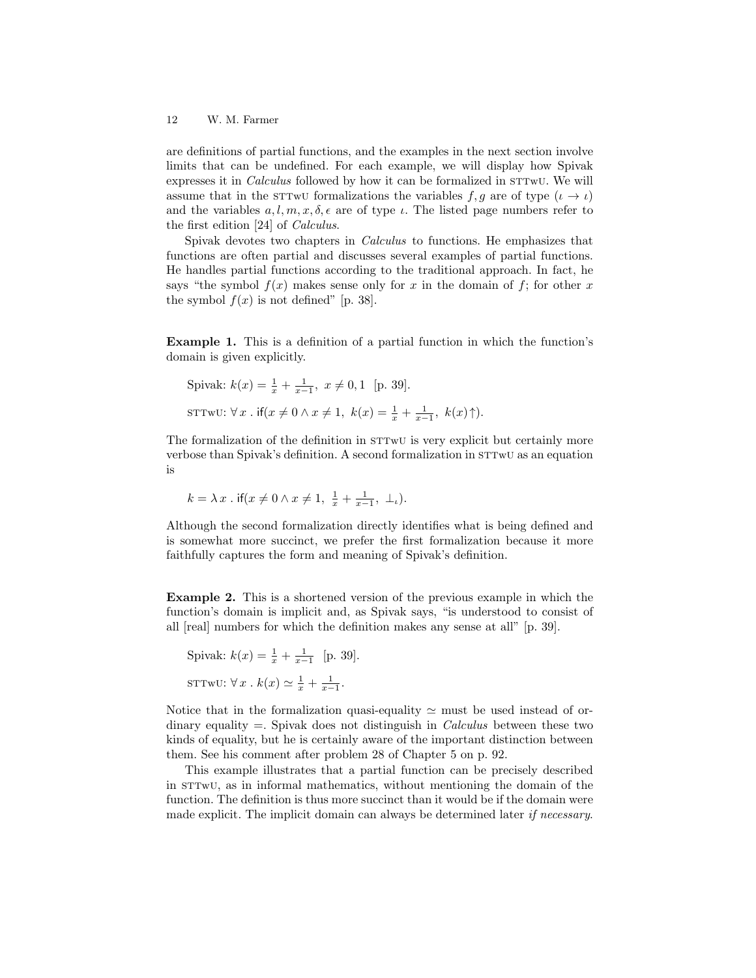are definitions of partial functions, and the examples in the next section involve limits that can be undefined. For each example, we will display how Spivak expresses it in *Calculus* followed by how it can be formalized in STTwU. We will assume that in the strtwu formalizations the variables f, g are of type  $(\iota \to \iota)$ and the variables  $a, l, m, x, \delta, \epsilon$  are of type  $\iota$ . The listed page numbers refer to the first edition [24] of Calculus.

Spivak devotes two chapters in Calculus to functions. He emphasizes that functions are often partial and discusses several examples of partial functions. He handles partial functions according to the traditional approach. In fact, he says "the symbol  $f(x)$  makes sense only for x in the domain of f; for other x the symbol  $f(x)$  is not defined" [p. 38].

Example 1. This is a definition of a partial function in which the function's domain is given explicitly.

Spivak: 
$$
k(x) = \frac{1}{x} + \frac{1}{x-1}
$$
,  $x \neq 0, 1$  [p. 39].  
STTWU:  $\forall x$ . if $(x \neq 0 \land x \neq 1, k(x) = \frac{1}{x} + \frac{1}{x-1}, k(x) \uparrow)$ .

The formalization of the definition in  $STTWU$  is very explicit but certainly more verbose than Spivak's definition. A second formalization in  $STTWU$  as an equation is

$$
k = \lambda x \cdot \text{if}(x \neq 0 \land x \neq 1, \frac{1}{x} + \frac{1}{x-1}, \perp_{\iota}).
$$

Although the second formalization directly identifies what is being defined and is somewhat more succinct, we prefer the first formalization because it more faithfully captures the form and meaning of Spivak's definition.

Example 2. This is a shortened version of the previous example in which the function's domain is implicit and, as Spivak says, "is understood to consist of all [real] numbers for which the definition makes any sense at all" [p. 39].

Spivak: 
$$
k(x) = \frac{1}{x} + \frac{1}{x-1}
$$
 [p. 39].  
STTWU:  $\forall x \cdot k(x) \simeq \frac{1}{x} + \frac{1}{x-1}$ .

Notice that in the formalization quasi-equality  $\simeq$  must be used instead of ordinary equality  $=$ . Spivak does not distinguish in *Calculus* between these two kinds of equality, but he is certainly aware of the important distinction between them. See his comment after problem 28 of Chapter 5 on p. 92.

This example illustrates that a partial function can be precisely described in strtwu, as in informal mathematics, without mentioning the domain of the function. The definition is thus more succinct than it would be if the domain were made explicit. The implicit domain can always be determined later *if necessary*.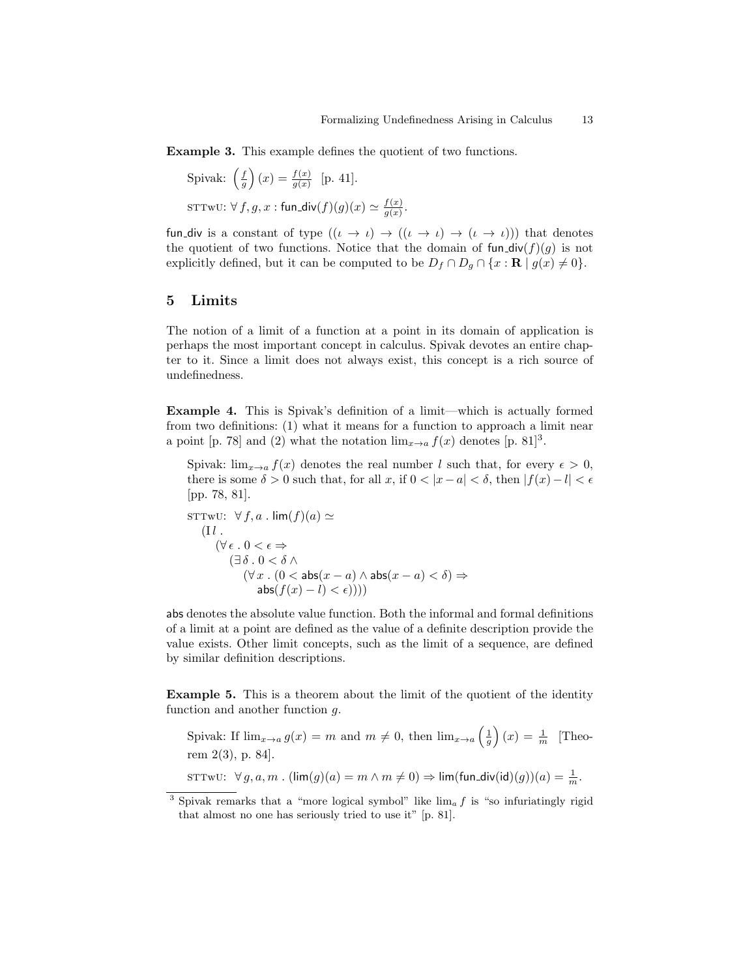Example 3. This example defines the quotient of two functions.

Spivak: 
$$
\left(\frac{f}{g}\right)(x) = \frac{f(x)}{g(x)}
$$
 [p. 41].  
STTWU:  $\forall f, g, x$ : fun-div $(f)(g)(x) \simeq \frac{f(x)}{g(x)}$ .

fun div is a constant of type  $((\iota \to \iota) \to ((\iota \to \iota) \to (\iota \to \iota)))$  that denotes the quotient of two functions. Notice that the domain of  $fun\_div(f)(g)$  is not explicitly defined, but it can be computed to be  $D_f \cap D_g \cap \{x : \mathbf{R} \mid g(x) \neq 0\}.$ 

### 5 Limits

The notion of a limit of a function at a point in its domain of application is perhaps the most important concept in calculus. Spivak devotes an entire chapter to it. Since a limit does not always exist, this concept is a rich source of undefinedness.

Example 4. This is Spivak's definition of a limit—which is actually formed from two definitions: (1) what it means for a function to approach a limit near a point [p. 78] and (2) what the notation  $\lim_{x\to a} f(x)$  denotes [p. 81]<sup>3</sup>.

Spivak:  $\lim_{x\to a} f(x)$  denotes the real number l such that, for every  $\epsilon > 0$ , there is some  $\delta > 0$  such that, for all x, if  $0 < |x - a| < \delta$ , then  $|f(x) - l| < \epsilon$ [pp. 78, 81].

$$
\begin{array}{l} \text{STTwU:} \ \forall \, f, a \ . \ \text{lim}(f)(a) \simeq \\[1ex] \qquad \qquad (\forall \, \epsilon \ . \ 0 < \epsilon \Rightarrow \\[1ex] \qquad \qquad (\exists \, \delta \ . \ 0 < \delta \ \land \\[1ex] \qquad \qquad (\forall \, x \ . \ (0 < \text{abs}(x - a) \ \land \text{abs}(x - a) < \delta) \Rightarrow \\[1ex] \qquad \qquad \text{abs}(f(x) - l) < \epsilon)))) \end{array}
$$

abs denotes the absolute value function. Both the informal and formal definitions of a limit at a point are defined as the value of a definite description provide the value exists. Other limit concepts, such as the limit of a sequence, are defined by similar definition descriptions.

Example 5. This is a theorem about the limit of the quotient of the identity function and another function g.

Spivak: If  $\lim_{x\to a} g(x) = m$  and  $m \neq 0$ , then  $\lim_{x\to a} \left(\frac{1}{g}\right)(x) = \frac{1}{m}$  [Theorem 2(3), p. 84]. STTwU:  $\forall g, a, m$  .  $(\lim(g)(a) = m \wedge m \neq 0) \Rightarrow \lim(\text{fun-div}(\text{id})(g))(a) = \frac{1}{m}$ .

<sup>&</sup>lt;sup>3</sup> Spivak remarks that a "more logical symbol" like  $\lim_{a} f$  is "so infuriatingly rigid that almost no one has seriously tried to use it" [p. 81].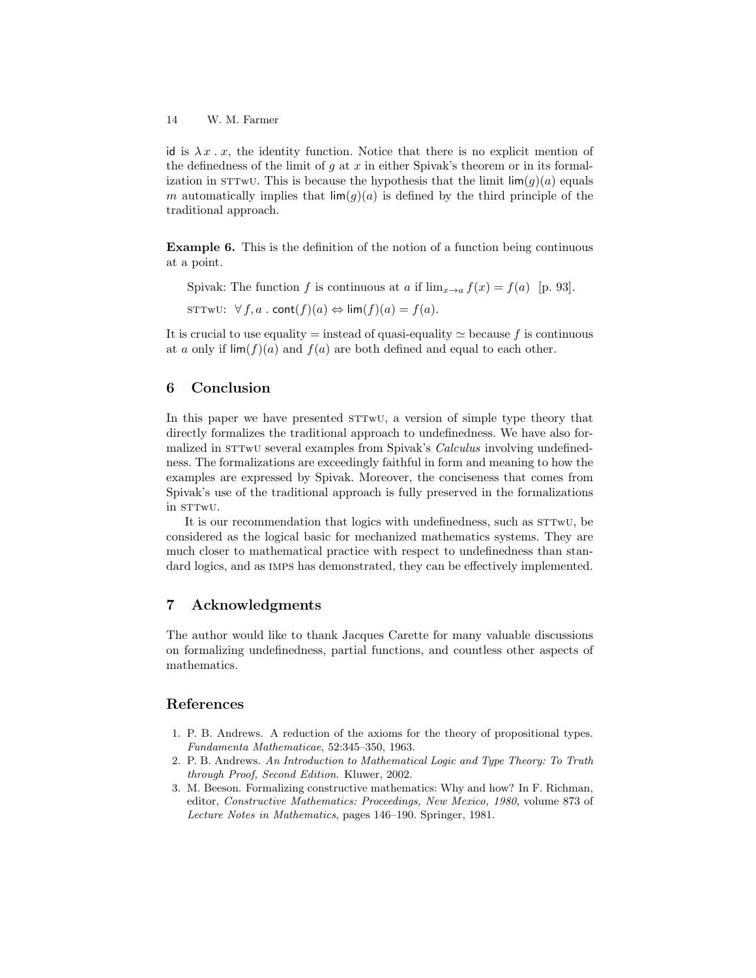id is  $\lambda x$ . x, the identity function. Notice that there is no explicit mention of the definedness of the limit of  $g$  at  $x$  in either Spivak's theorem or in its formalization in strtwu. This is because the hypothesis that the limit  $\lim(g)(a)$  equals m automatically implies that  $\lim(g)(a)$  is defined by the third principle of the traditional approach.

Example 6. This is the definition of the notion of a function being continuous at a point.

Spivak: The function f is continuous at a if  $\lim_{x\to a} f(x) = f(a)$  [p. 93].

 $STTWU: \forall f, a \cdot cont(f)(a) \Leftrightarrow lim(f)(a) = f(a).$ 

It is crucial to use equality = instead of quasi-equality  $\simeq$  because f is continuous at a only if  $\lim(f)(a)$  and  $f(a)$  are both defined and equal to each other.

### 6 Conclusion

In this paper we have presented strown, a version of simple type theory that directly formalizes the traditional approach to undefinedness. We have also formalized in STTwU several examples from Spivak's *Calculus* involving undefinedness. The formalizations are exceedingly faithful in form and meaning to how the examples are expressed by Spivak. Moreover, the conciseness that comes from Spivak's use of the traditional approach is fully preserved in the formalizations in strwu.

It is our recommendation that logics with undefinedness, such as  $STTwU$ , be considered as the logical basic for mechanized mathematics systems. They are much closer to mathematical practice with respect to undefinedness than standard logics, and as imps has demonstrated, they can be effectively implemented.

# 7 Acknowledgments

The author would like to thank Jacques Carette for many valuable discussions on formalizing undefinedness, partial functions, and countless other aspects of mathematics.

### References

- 1. P. B. Andrews. A reduction of the axioms for the theory of propositional types. Fundamenta Mathematicae, 52:345–350, 1963.
- 2. P. B. Andrews. An Introduction to Mathematical Logic and Type Theory: To Truth through Proof, Second Edition. Kluwer, 2002.
- 3. M. Beeson. Formalizing constructive mathematics: Why and how? In F. Richman, editor, Constructive Mathematics: Proceedings, New Mexico, 1980, volume 873 of Lecture Notes in Mathematics, pages 146–190. Springer, 1981.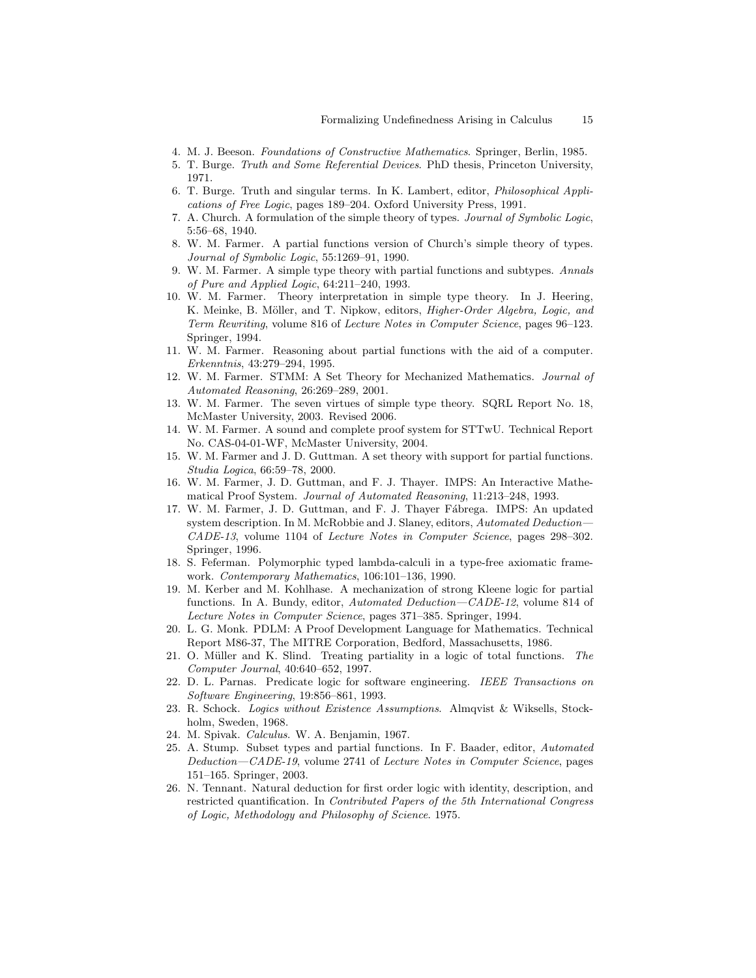- 4. M. J. Beeson. Foundations of Constructive Mathematics. Springer, Berlin, 1985.
- 5. T. Burge. Truth and Some Referential Devices. PhD thesis, Princeton University, 1971.
- 6. T. Burge. Truth and singular terms. In K. Lambert, editor, Philosophical Applications of Free Logic, pages 189–204. Oxford University Press, 1991.
- 7. A. Church. A formulation of the simple theory of types. Journal of Symbolic Logic, 5:56–68, 1940.
- 8. W. M. Farmer. A partial functions version of Church's simple theory of types. Journal of Symbolic Logic, 55:1269–91, 1990.
- W. M. Farmer. A simple type theory with partial functions and subtypes. Annals of Pure and Applied Logic, 64:211–240, 1993.
- 10. W. M. Farmer. Theory interpretation in simple type theory. In J. Heering, K. Meinke, B. Möller, and T. Nipkow, editors, *Higher-Order Algebra, Logic, and* Term Rewriting, volume 816 of Lecture Notes in Computer Science, pages 96–123. Springer, 1994.
- 11. W. M. Farmer. Reasoning about partial functions with the aid of a computer. Erkenntnis, 43:279–294, 1995.
- 12. W. M. Farmer. STMM: A Set Theory for Mechanized Mathematics. Journal of Automated Reasoning, 26:269–289, 2001.
- 13. W. M. Farmer. The seven virtues of simple type theory. SQRL Report No. 18, McMaster University, 2003. Revised 2006.
- 14. W. M. Farmer. A sound and complete proof system for STTwU. Technical Report No. CAS-04-01-WF, McMaster University, 2004.
- 15. W. M. Farmer and J. D. Guttman. A set theory with support for partial functions. Studia Logica, 66:59–78, 2000.
- 16. W. M. Farmer, J. D. Guttman, and F. J. Thayer. IMPS: An Interactive Mathematical Proof System. Journal of Automated Reasoning, 11:213–248, 1993.
- 17. W. M. Farmer, J. D. Guttman, and F. J. Thayer Fábrega. IMPS: An updated system description. In M. McRobbie and J. Slaney, editors, Automated Deduction-CADE-13, volume 1104 of Lecture Notes in Computer Science, pages 298–302. Springer, 1996.
- 18. S. Feferman. Polymorphic typed lambda-calculi in a type-free axiomatic framework. Contemporary Mathematics, 106:101–136, 1990.
- 19. M. Kerber and M. Kohlhase. A mechanization of strong Kleene logic for partial functions. In A. Bundy, editor, Automated Deduction—CADE-12, volume 814 of Lecture Notes in Computer Science, pages 371–385. Springer, 1994.
- 20. L. G. Monk. PDLM: A Proof Development Language for Mathematics. Technical Report M86-37, The MITRE Corporation, Bedford, Massachusetts, 1986.
- 21. O. M¨uller and K. Slind. Treating partiality in a logic of total functions. The Computer Journal, 40:640–652, 1997.
- 22. D. L. Parnas. Predicate logic for software engineering. IEEE Transactions on Software Engineering, 19:856–861, 1993.
- 23. R. Schock. Logics without Existence Assumptions. Almqvist & Wiksells, Stockholm, Sweden, 1968.
- 24. M. Spivak. Calculus. W. A. Benjamin, 1967.
- 25. A. Stump. Subset types and partial functions. In F. Baader, editor, Automated Deduction—CADE-19, volume 2741 of Lecture Notes in Computer Science, pages 151–165. Springer, 2003.
- 26. N. Tennant. Natural deduction for first order logic with identity, description, and restricted quantification. In Contributed Papers of the 5th International Congress of Logic, Methodology and Philosophy of Science. 1975.